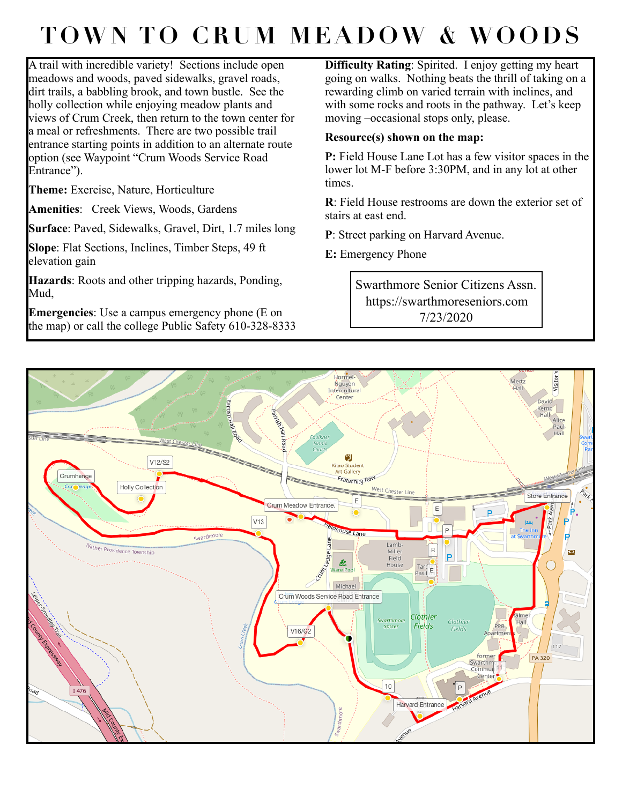## **TOWN TO CRUM MEADOW & WOODS**

A trail with incredible variety! Sections include open meadows and woods, paved sidewalks, gravel roads, dirt trails, a babbling brook, and town bustle. See the holly collection while enjoying meadow plants and views of Crum Creek, then return to the town center for a meal or refreshments. There are two possible trail entrance starting points in addition to an alternate route option (see Waypoint "Crum Woods Service Road Entrance").

**Theme:** Exercise, Nature, Horticulture

**Amenities**: Creek Views, Woods, Gardens

**Surface**: Paved, Sidewalks, Gravel, Dirt, 1.7 miles long

**Slope**: Flat Sections, Inclines, Timber Steps, 49 ft elevation gain

**Hazards**: Roots and other tripping hazards, Ponding, Mud,

**Emergencies**: Use a campus emergency phone (E on the map) or call the college Public Safety 610-328-8333

**Difficulty Rating**: Spirited. I enjoy getting my heart going on walks. Nothing beats the thrill of taking on a rewarding climb on varied terrain with inclines, and with some rocks and roots in the pathway. Let's keep moving –occasional stops only, please.

## **Resource(s) shown on the map:**

**P:** Field House Lane Lot has a few visitor spaces in the lower lot M-F before 3:30PM, and in any lot at other times.

**R**: Field House restrooms are down the exterior set of stairs at east end.

**P**: Street parking on Harvard Avenue.

**E:** Emergency Phone

Swarthmore Senior Citizens Assn. https://swarthmoreseniors.com 7/23/2020